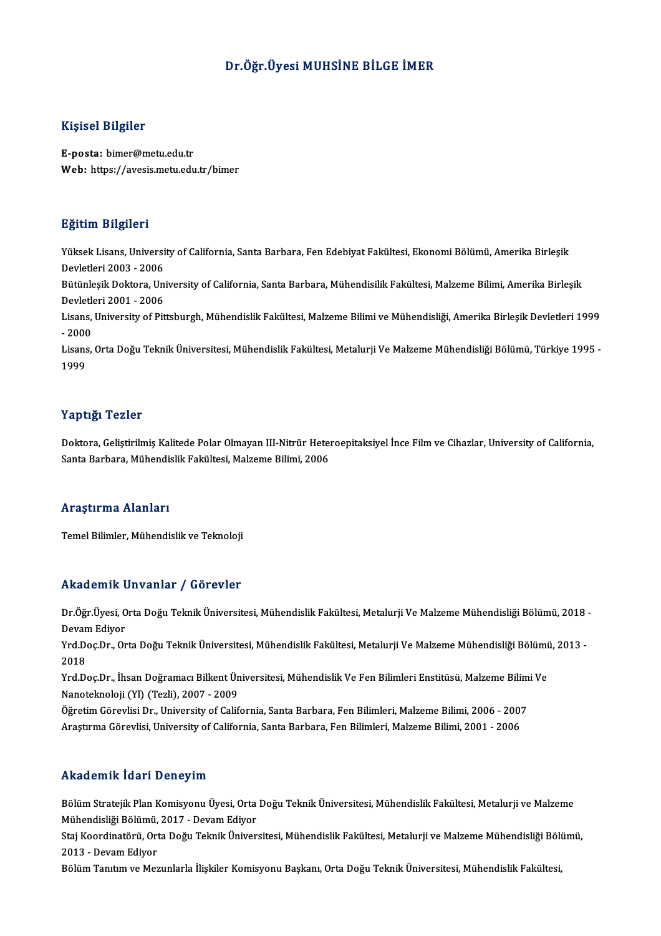## Dr.Öğr.Üyesi MUHSİNE BİLGE İMER

## Kişisel Bilgiler

E-posta: bimer@metu.edu.tr Web: https://avesis.metu.edu.tr/bimer

## Eğitim Bilgileri

**Eğitim Bilgileri**<br>Yüksek Lisans, University of California, Santa Barbara, Fen Edebiyat Fakültesi, Ekonomi Bölümü, Amerika Birleşik<br>Devletleri 2003 - 2006 21<br>2008 - Yüksek Lisans, Universi<br>Devletleri 2003 - 2006<br>Pütünlerik Dektara, Uni Yüksek Lisans, University of California, Santa Barbara, Fen Edebiyat Fakültesi, Ekonomi Bölümü, Amerika Birleşik<br>Devletleri 2003 - 2006<br>Bütünleşik Doktora, University of California, Santa Barbara, Mühendisilik Fakültesi, M

Devletleri 2003 - 2006<br>Bütünleşik Doktora, Uni<br>Devletleri 2001 - 2006<br>Lisans, University of Bit Bütünleşik Doktora, University of California, Santa Barbara, Mühendisilik Fakültesi, Malzeme Bilimi, Amerika Birleşik<br>Devletleri 2001 - 2006<br>Lisans, University of Pittsburgh, Mühendislik Fakültesi, Malzeme Bilimi ve Mühend

Devletleri 2001 - 2006<br>Lisans, University of Pittsburgh, Mühendislik Fakültesi, Malzeme Bilimi ve Mühendisliği, Amerika Birleşik Devletleri 1999  $-2000$ 

Lisans, Orta Doğu Teknik Üniversitesi, Mühendislik Fakültesi, Metalurji Ve Malzeme Mühendisliği Bölümü, Türkiye 1995 -<br>1999

## Yaptığı Tezler

Yaptığı Tezler<br>Doktora, Geliştirilmiş Kalitede Polar Olmayan III-Nitrür Heteroepitaksiyel İnce Film ve Cihazlar, University of California,<br>Santa Parhana, Mühandialik Falrijkasi, Malrama Bilimi, 2006 1 apesar 1 02101<br>Doktora, Geliştirilmiş Kalitede Polar Olmayan III-Nitrür Hete:<br>Santa Barbara, Mühendislik Fakültesi, Malzeme Bilimi, 2006 Santa Barbara, Mühendislik Fakültesi, Malzeme Bilimi, 2006<br>Araştırma Alanları

Temel Bilimler, Mühendislik ve Teknoloji

## Akademik Unvanlar / Görevler

**Akademik Unvanlar / Görevler**<br>Dr.Öğr.Üyesi, Orta Doğu Teknik Üniversitesi, Mühendislik Fakültesi, Metalurji Ve Malzeme Mühendisliği Bölümü, 2018 -<br>Davam Ediyar rmaa omme<br>Dr.Öğr.Üyesi, O<br>Devam Ediyor<br><sup>Vrd Doo</sub>Dr. Or</sup> Dr.Öğr.Üyesi, Orta Doğu Teknik Üniversitesi, Mühendislik Fakültesi, Metalurji Ve Malzeme Mühendisliği Bölümü, 2018 -<br>Devam Ediyor<br>Yrd.Doç.Dr., Orta Doğu Teknik Üniversitesi, Mühendislik Fakültesi, Metalurji Ve Malzeme Mühe

Devan<br>Yrd.D<br>2018<br><sup>Vrd.D</sup>. Yrd.Doç.Dr., Orta Doğu Teknik Üniversitesi, Mühendislik Fakültesi, Metalurji Ve Malzeme Mühendisliği Bölümi<br>2018<br>Yrd.Doç.Dr., İhsan Doğramacı Bilkent Üniversitesi, Mühendislik Ve Fen Bilimleri Enstitüsü, Malzeme Bilimi Ve<br>

2018<br>Yrd.Doç.Dr., İhsan Doğramacı Bilkent Üniversitesi, Mühendislik Ve Fen Bilimleri Enstitüsü, Malzeme Bilimi Ve<br>Nanoteknoloji (Yl) (Tezli), 2007 - 2009 Yrd.Doç.Dr., İhsan Doğramacı Bilkent Üniversitesi, Mühendislik Ve Fen Bilimleri Enstitüsü, Malzeme Bilim<br>Nanoteknoloji (Yl) (Tezli), 2007 - 2009<br>Öğretim Görevlisi Dr., University of California, Santa Barbara, Fen Bilimleri

Nanoteknoloji (Yl) (Tezli), 2007 - 2009<br>Öğretim Görevlisi Dr., University of California, Santa Barbara, Fen Bilimleri, Malzeme Bilimi, 2006 - 200:<br>Araştırma Görevlisi, University of California, Santa Barbara, Fen Bilimleri Araştırma Görevlisi, University of California, Santa Barbara, Fen Bilimleri, Malzeme Bilimi, 2001 - 2006<br>Akademik İdari Deneyim

Bölüm Stratejik Plan Komisyonu Üyesi, Orta Doğu Teknik Üniversitesi, Mühendislik Fakültesi, Metalurji ve Malzeme Mühendisliği Bölüm Komisyonu Üyesi, Orta<br>Bölüm Stratejik Plan Komisyonu Üyesi, Orta<br>Mühendisliği Bölümü, 2017 - Devam Ediyor<br>Stai Koordinatörü, Orta Doğu Tolmik Üniver

Staj Koordinatörü, Orta Doğu Teknik Üniversitesi, Mühendislik Fakültesi, Metalurji ve Malzeme Mühendisliği Bölümü,<br>2013 - Devam Ediyor Mühendisliği Bölümü,<br>Staj Koordinatörü, Ort<br>2013 - Devam Ediyor<br>Bölüm Tanıtım ve Mes

Bölüm Tanıtım ve Mezunlarla İlişkiler Komisyonu Başkanı, Orta Doğu Teknik Üniversitesi, Mühendislik Fakültesi,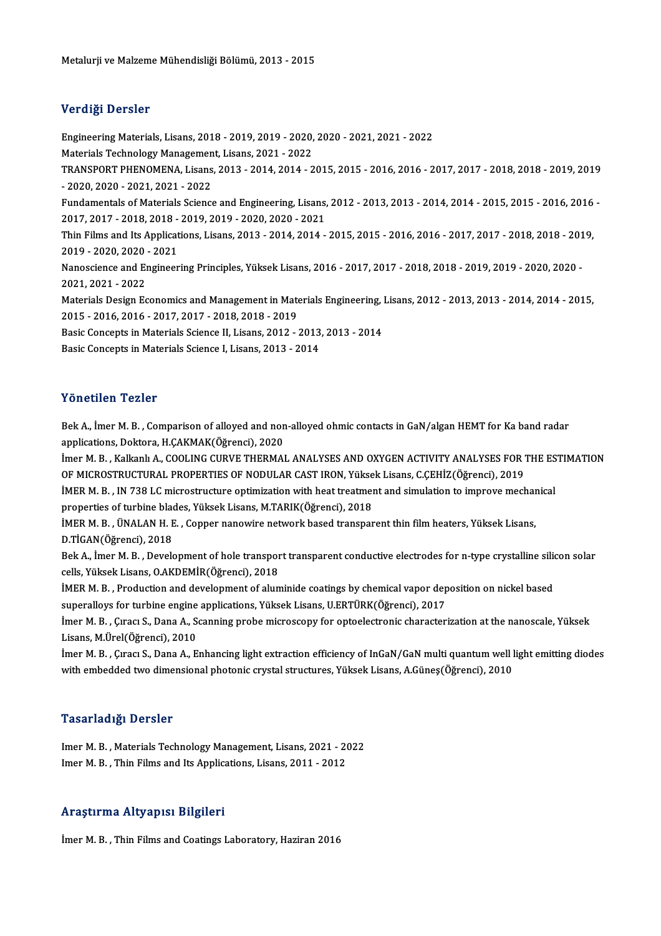## Verdiği Dersler

Verdiği Dersler<br>Engineering Materials, Lisans, 2018 - 2019, 2019 - 2020, 2020 - 2021, 2021 - 2022<br>Materials Technology Managament Lisans, 2021, 2022 MaterialsTechnology<br>Tengineering Materials, Lisans, 2018 - 2019, 2019 - 2020,<br>Materials Technology Management, Lisans, 2021 - 2022<br>TRANSPORT BUENOMENA, Lisans, 2012, 2014, 2014, 2 Engineering Materials, Lisans, 2018 - 2019, 2019 - 2020, 2020 - 2021, 2021 - 2022<br>Materials Technology Management, Lisans, 2021 - 2022<br>TRANSPORT PHENOMENA, Lisans, 2013 - 2014, 2014 - 2015, 2015 - 2016, 2016 - 2017, 2017 -Materials Technology Managemen<br>TRANSPORT PHENOMENA, Lisans<br>- 2020, 2020 - 2021, 2021 - 2022<br>Eundamentals of Materials Science TRANSPORT PHENOMENA, Lisans, 2013 - 2014, 2014 - 2015, 2015 - 2016, 2016 - 2017, 2017 - 2018, 2018 - 2019, 2019<br>- 2020, 2020 - 2021, 2021 - 2022<br>Fundamentals of Materials Science and Engineering, Lisans, 2012 - 2013, 2013 - 2020, 2020 - 2021, 2021 - 2022<br>Fundamentals of Materials Science and Engineering, Lisans, 2012 - 2013, 2013 - 2014, 2014 - 2015, 2015 - 2016, 2016 -<br>2017, 2017 - 2018, 2018 - 2019, 2019 - 2020, 2020 - 2021 Fundamentals of Materials Science and Engineering, Lisans, 2012 - 2013, 2013 - 2014, 2014 - 2015, 2015 - 2016, 2016<br>2017, 2017 - 2018, 2018 - 2019, 2019 - 2020, 2020 - 2021<br>Thin Films and Its Applications, Lisans, 2013 - 2 2017, 2017 - 2018, 2018 -<br>Thin Films and Its Applicat<br>2019 - 2020, 2020 - 2021<br>Nanoscionse and Engineer Thin Films and Its Applications, Lisans, 2013 - 2014, 2014 - 2015, 2015 - 2016, 2016 - 2017, 2017 - 2018, 2018 - 201<br>2019 - 2020, 2020 - 2021<br>Nanoscience and Engineering Principles, Yüksek Lisans, 2016 - 2017, 2017 - 2018, 2019 - 2020, 2020 - 2021<br>Nanoscience and Engineering Principles, Yüksek Lisans, 2016 - 2017, 2017 - 2018, 2018 - 2019, 2019 - 2020, 2020<br>2021, 2021 - 2022 Nanoscience and Engineering Principles, Yüksek Lisans, 2016 - 2017, 2017 - 2018, 2018 - 2019, 2019 - 2020, 2020<br>2021, 2021 - 2022<br>Materials Design Economics and Management in Materials Engineering, Lisans, 2012 - 2013, 201 2021, 2021 - 2022<br>Materials Design Economics and Management in Materials Design Economics and Management in Materials<br>Pesis Consents in Materials Science II Lisens, 2019 Materials Design Economics and Management in Materials Engineering, 1<br>2015 - 2016, 2016 - 2017, 2017 - 2018, 2018 - 2019<br>Basic Concepts in Materials Science II, Lisans, 2012 - 2013, 2013 - 2014<br>Basic Concepts in Materials 2015 - 2016, 2016 - 2017, 2017 - 2018, 2018 - 2019<br>Basic Concepts in Materials Science II, Lisans, 2012 - 2013, 2013 - 2014<br>Basic Concepts in Materials Science I, Lisans, 2013 - 2014

## Yönetilen Tezler

Yönetilen Tezler<br>Bek A., İmer M. B. , Comparison of alloyed and non-alloyed ohmic contacts in GaN/algan HEMT for Ka band radar<br>applisations, Dektore, H.CAKMAK(Öğrenei), 2020 applications, Danca<br>Bek A., İmer M. B. , Comparison of alloyed and non<br>applications, Doktora, H.ÇAKMAK(Öğrenci), 2020<br>İmer M. B., Kalkanlı A., COOLING GUBVE TUEBMAL Bek A., İmer M. B. , Comparison of alloyed and non-alloyed ohmic contacts in GaN/algan HEMT for Ka band radar<br>applications, Doktora, H.ÇAKMAK(Öğrenci), 2020<br>İmer M. B. , Kalkanlı A., COOLING CURVE THERMAL ANALYSES AND OXYG

applications, Doktora, H.ÇAKMAK(Öğrenci), 2020<br>İmer M. B. , Kalkanlı A., COOLING CURVE THERMAL ANALYSES AND OXYGEN ACTIVITY ANALYSES FOR THE ESTIMATION<br>OF MICROSTRUCTURAL PROPERTIES OF NODULAR CAST IRON, Yüksek Lisans, C.C İmer M. B. , Kalkanlı A., COOLING CURVE THERMAL ANALYSES AND OXYGEN ACTIVITY ANALYSES FOR THE ES<br>OF MICROSTRUCTURAL PROPERTIES OF NODULAR CAST IRON, Yüksek Lisans, C.ÇEHİZ(Öğrenci), 2019<br>İMER M. B. , IN 738 LC microstructu

OF MICROSTRUCTURAL PROPERTIES OF NODULAR CAST IRON, Yükse<br>İMER M. B. , IN 738 LC microstructure optimization with heat treatmen<br>properties of turbine blades, Yüksek Lisans, M.TARIK(Öğrenci), 2018<br>IMER M. B. , İNALAN H. F. İMER M. B. , IN 738 LC microstructure optimization with heat treatment and simulation to improve mechar<br>properties of turbine blades, Yüksek Lisans, M.TARIK(Öğrenci), 2018<br>İMER M. B. , ÜNALAN H. E. , Copper nanowire networ

properties of turbine blades, Yüksek Lisans, M.TARIK(Öğrenci), 2018<br>İMER M. B. , ÜNALAN H. E. , Copper nanowire network based transparent thin film heaters, Yüksek Lisans,<br>D.TİGAN(Öğrenci), 2018 IMER M. B. , ÜNALAN H. E. , Copper nanowire network based transparent thin film heaters, Yüksek Lisans,<br>D.TİGAN(Öğrenci), 2018<br>Bek A., İmer M. B. , Development of hole transport transparent conductive electrodes for n-type

D.TİGAN(Öğrenci), 2018<br>Bek A., İmer M. B. , Development of hole transpor<br>cells, Yüksek Lisans, O.AKDEMİR(Öğrenci), 2018<br>İMER M. B., Preduction and davelopment of alun Bek A., İmer M. B. , Development of hole transport transparent conductive electrodes for n-type crystalline sili<br>cells, Yüksek Lisans, O.AKDEMİR(Öğrenci), 2018<br>İMER M. B. , Production and development of aluminide coatings

cells, Yüksek Lisans, O.AKDEMİR(Öğrenci), 2018<br>İMER M. B. , Production and development of aluminide coatings by chemical vapor dep<br>superalloys for turbine engine applications, Yüksek Lisans, U.ERTÜRK(Öğrenci), 2017<br>İmer M. İMER M. B. , Production and development of aluminide coatings by chemical vapor deposition on nickel based<br>superalloys for turbine engine applications, Yüksek Lisans, U.ERTÜRK(Öğrenci), 2017<br>İmer M. B. , Çıracı S., Dana A.

superalloys for turbine engine applications, Yüksek Lisans, U.ERTÜRK(Öğrenci), 2017<br>İmer M. B. , Çıracı S., Dana A., Scanning probe microscopy for optoelectronic character<br>Lisans, M.Ürel(Öğrenci), 2010 İmer M. B. , Çıracı S., Dana A., Scanning probe microscopy for optoelectronic characterization at the nanoscale, Yüksek<br>Lisans, M.Ürel(Öğrenci), 2010<br>İmer M. B. , Çıracı S., Dana A., Enhancing light extraction efficiency o

İmer M. B., Çıracı S., Dana A., Enhancing light extraction efficiency of InGaN/GaN multi quantum well light emitting diodes

## Tasarladığı Dersler

Tasarladığı Dersler<br>Imer M. B. , Materials Technology Management, Lisans, 2021 - 2022<br>Imer M. B., Thin Films and Its Annlisations, Lisans, 2011, 2012 Inder M.B. , Materials Technology Management, Lisans, 2021 - 2<br>Imer M. B. , Thin Films and Its Applications, Lisans, 2011 - 2012 Imer M. B. , Thin Films and Its Applications, Lisans, 2011 - 2012<br>Araştırma Altyapısı Bilgileri

İmer M.B., Thin Films and Coatings Laboratory, Haziran 2016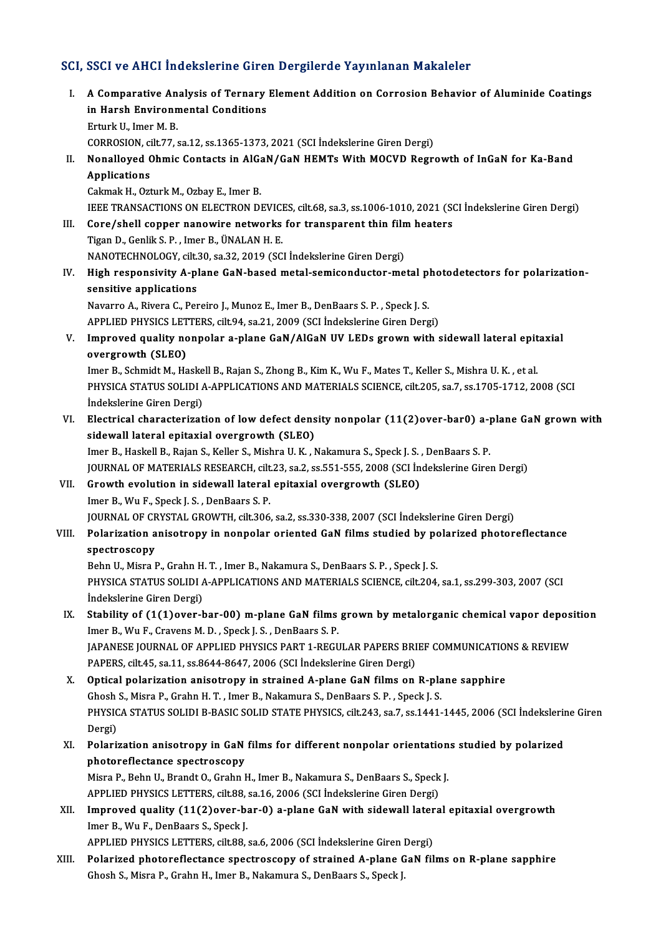## SCI, SSCI ve AHCI İndekslerine Giren Dergilerde Yayınlanan Makaleler

CI, SSCI ve AHCI İndekslerine Giren Dergilerde Yayınlanan Makaleler<br>I. A Comparative Analysis of Ternary Element Addition on Corrosion Behavior of Aluminide Coatings<br>in Harch Environmental Conditions Boot volting in addition in the direct<br>A Comparative Analysis of Ternary<br>in Harsh Environmental Conditions A Comparative An<br>in Harsh Environn<br>Erturk U., Imer M. B.<br>COPPOSION silt 77 in Harsh Environmental Conditions<br>Erturk U., Imer M. B.<br>CORROSION, cilt.77, sa.12, ss.1365-1373, 2021 (SCI İndekslerine Giren Dergi) Erturk U., Imer M. B.<br>CORROSION, cilt.77, sa.12, ss.1365-1373, 2021 (SCI İndekslerine Giren Dergi)<br>II. Nonalloyed Ohmic Contacts in AlGaN/GaN HEMTs With MOCVD Regrowth of InGaN for Ka-Band<br>Annligations CORROSION, ci<br>Nonalloyed C<br>Applications Nonalloyed Ohmic Contacts in AlGa<br>Applications<br>Cakmak H., Ozturk M., Ozbay E., Imer B.<br>JEEE TRANSACTIONS ON ELECTRON DI Applications<br>Cakmak H., Ozturk M., Ozbay E., Imer B.<br>IEEE TRANSACTIONS ON ELECTRON DEVICES, cilt.68, sa.3, ss.1006-1010, 2021 (SCI İndekslerine Giren Dergi)<br>Cara (abell sannan nanavyire natyorka fan transporant thin film b Cakmak H., Ozturk M., Ozbay E., Imer B.<br>IEEE TRANSACTIONS ON ELECTRON DEVICES, cilt.68, sa.3, ss.1006-1010, 2021 (St.<br>III. Core/shell copper nanowire networks for transparent thin film heaters<br>Tigen D. Coplit S. B. Jmen B. THE TRANSACTIONS ON ELECTRON DEVICT<br>**Core/shell copper nanowire networks**<br>Tigan D., Genlik S. P., Imer B., ÜNALAN H. E.<br>NANOTECHNOLOCY, silt 30, sa 32, 2019 (SC Core/shell copper nanowire networks for transparent thin film<br>Tigan D., Genlik S. P., Imer B., ÜNALAN H. E.<br>NANOTECHNOLOGY, cilt.30, sa.32, 2019 (SCI İndekslerine Giren Dergi)<br>High responsivity A. plane CaN based metal sem Tigan D., Genlik S. P. , Imer B., ÜNALAN H. E.<br>NANOTECHNOLOGY, cilt.30, sa.32, 2019 (SCI İndekslerine Giren Dergi)<br>IV. High responsivity A-plane GaN-based metal-semiconductor-metal photodetectors for polarization-<br>sens NANOTECHNOLOGY, cilt.<br>High responsivity A-pl<br>sensitive applications<br>Navarre A-Bivara G-Bar High responsivity A-plane GaN-based metal-semiconductor-metal pl<br>sensitive applications<br>Navarro A., Rivera C., Pereiro J., Munoz E., Imer B., DenBaars S. P. , Speck J. S.<br>APPLIED PHYSICS LETTERS, silt 94, se 21, 2009 (SCL sensitive applications<br>Navarro A., Rivera C., Pereiro J., Munoz E., Imer B., DenBaars S. P. , Speck J. S.<br>APPLIED PHYSICS LETTERS, cilt.94, sa.21, 2009 (SCI İndekslerine Giren Dergi)<br>Impreued quality perpelar a plane CaN/A Navarro A., Rivera C., Pereiro J., Munoz E., Imer B., DenBaars S. P. , Speck J. S.<br>APPLIED PHYSICS LETTERS, cilt.94, sa.21, 2009 (SCI İndekslerine Giren Dergi)<br>V. Improved quality nonpolar a-plane GaN/AlGaN UV LEDs grown w APPLIED PHYSICS LET<br>Improved quality no<br>overgrowth (SLEO)<br>Imar P. Sabmidt M. Ha Improved quality nonpolar a-plane GaN/AlGaN UV LEDs grown with sidewall lateral epit<br>overgrowth (SLEO)<br>Imer B., Schmidt M., Haskell B., Rajan S., Zhong B., Kim K., Wu F., Mates T., Keller S., Mishra U. K. , et al.<br>PHYSICA overgrowth (SLEO)<br>Imer B., Schmidt M., Haskell B., Rajan S., Zhong B., Kim K., Wu F., Mates T., Keller S., Mishra U. K. , et al.<br>PHYSICA STATUS SOLIDI A-APPLICATIONS AND MATERIALS SCIENCE, cilt.205, sa.7, ss.1705-1712, 200 Imer B., Schmidt M., Haskell B., Rajan S., Zhong B., Kim K., Wu F., Mates T., Keller S., Mishra U. K., et al. PHYSICA STATUS SOLIDI A-APPLICATIONS AND MATERIALS SCIENCE, cilt.205, sa.7, ss.1705-1712, 2008 (SCI<br>Indekslerine Giren Dergi)<br>VI. Electrical characterization of low defect density nonpolar (11(2)over-bar0) a-plane GaN grow indekslerine Giren Dergi)<br>Electrical characterization of low defect dens<br>sidewall lateral epitaxial overgrowth (SLEO)<br>Imer B. Haskall B. Bajan S. Keller S. Mishra U. K. J Electrical characterization of low defect density nonpolar (11(2)over-bar0) a-<sub>l</sub><br>sidewall lateral epitaxial overgrowth (SLEO)<br>Imer B., Haskell B., Rajan S., Keller S., Mishra U. K. , Nakamura S., Speck J. S. , DenBaars S. sidewall lateral epitaxial overgrowth (SLEO)<br>Imer B., Haskell B., Rajan S., Keller S., Mishra U. K. , Nakamura S., Speck J. S. , DenBaars S. P.<br>JOURNAL OF MATERIALS RESEARCH, cilt.23, sa.2, ss.551-555, 2008 (SCI İndeksleri Imer B., Haskell B., Rajan S., Keller S., Mishra U. K., Nakamura S., Speck J. S., DenBaars S. P.<br>JOURNAL OF MATERIALS RESEARCH, cilt.23, sa.2, ss.551-555, 2008 (SCI Indekslerine Girer<br>VII. Growth evolution in sidewall late **JOURNAL OF MATERIALS RESEARCH, cilt<br>Growth evolution in sidewall lateral<br>Imer B., Wu F., Speck J. S. , DenBaars S. P.<br>JOURNAL OF CRYSTAL CROWTH silt 306** Growth evolution in sidewall lateral epitaxial overgrowth (SLEO)<br>Imer B., Wu F., Speck J. S. , DenBaars S. P.<br>JOURNAL OF CRYSTAL GROWTH, cilt.306, sa.2, ss.330-338, 2007 (SCI İndekslerine Giren Dergi)<br>Pelarization anisotro Imer B., Wu F., Speck J. S. , DenBaars S. P.<br>JOURNAL OF CRYSTAL GROWTH, cilt.306, sa.2, ss.330-338, 2007 (SCI İndekslerine Giren Dergi)<br>VIII. Polarization anisotropy in nonpolar oriented GaN films studied by polarized phot JOURNAL OF C<mark>F</mark><br>Polarization a<br>spectroscopy<br><sup>Robn II</sup>, Misra I Polarization anisotropy in nonpolar oriented GaN films studied by po<br>spectroscopy<br>Behn U., Misra P., Grahn H. T. , Imer B., Nakamura S., DenBaars S. P. , Speck J. S.<br>puvsica status Sol IDLA APRLICATIONS AND MATERIALS SCIEN spectroscopy<br>Behn U., Misra P., Grahn H. T. , Imer B., Nakamura S., DenBaars S. P. , Speck J. S.<br>PHYSICA STATUS SOLIDI A-APPLICATIONS AND MATERIALS SCIENCE, cilt.204, sa.1, ss.299-303, 2007 (SCI<br>İndekslerine Giren Dergi) Behn U., Misra P., Grahn H. T., Imer B., Nakamura S., DenBaars S. P., Speck J. S. IX. Stability of (1(1)over-bar-00) m-plane GaN films grown by metalorganic chemical vapor deposition Imer B., Wu F., Cravens M. D., Speck J. S., DenBaars S. P. Stability of (1(1)over-bar-00) m-plane GaN films grown by metalorganic chemical vapor deposi<br>Imer B., Wu F., Cravens M. D. , Speck J. S. , DenBaars S. P.<br>JAPANESE JOURNAL OF APPLIED PHYSICS PART 1-REGULAR PAPERS BRIEF COMM Imer B., Wu F., Cravens M. D. , Speck J. S. , DenBaars S. P.<br>JAPANESE JOURNAL OF APPLIED PHYSICS PART 1-REGULAR PAPERS BRI<br>PAPERS, cilt.45, sa.11, ss.8644-8647, 2006 (SCI İndekslerine Giren Dergi)<br>Ontical polarization anis JAPANESE JOURNAL OF APPLIED PHYSICS PART 1-REGULAR PAPERS BRIEF COMMUNICATION<br>PAPERS, cilt.45, sa.11, ss.8644-8647, 2006 (SCI Indekslerine Giren Dergi)<br>X. Optical polarization anisotropy in strained A-plane GaN films on R-PAPERS, cilt.45, sa.11, ss.8644-8647, 2006 (SCI İndekslerine Giren Dergi)<br>Optical polarization anisotropy in strained A-plane GaN films on R-pla<br>Ghosh S., Misra P., Grahn H.T., Imer B., Nakamura S., DenBaars S.P., Speck J. X. Optical polarization anisotropy in strained A-plane GaN films on R-plane sapphire<br>Ghosh S., Misra P., Grahn H. T. , Imer B., Nakamura S., DenBaars S. P. , Speck J. S.<br>PHYSICA STATUS SOLIDI B-BASIC SOLID STATE PHYSICS, c Ghosh<br>PHYSIC<br>Dergi)<br>Polari: PHYSICA STATUS SOLIDI B-BASIC SOLID STATE PHYSICS, cilt.243, sa.7, ss.1441-1445, 2006 (SCI İndekslerin<br>Dergi)<br>XI. Polarization anisotropy in GaN films for different nonpolar orientations studied by polarized<br>nhatanaflatana Dergi)<br>Polarization anisotropy in GaN<br>photoreflectance spectroscopy<br>Misra B. Bobn II, Brandt O. Crabn I Polarization anisotropy in GaN films for different nonpolar orientation<br>photoreflectance spectroscopy<br>Misra P., Behn U., Brandt O., Grahn H., Imer B., Nakamura S., DenBaars S., Speck J.<br>APPLIED PHYSICS LETTERS silt 99 sa 1 photoreflectance spectroscopy<br>Misra P., Behn U., Brandt O., Grahn H., Imer B., Nakamura S., DenBaars S., Speck<br>APPLIED PHYSICS LETTERS, cilt.88, sa.16, 2006 (SCI İndekslerine Giren Dergi)<br>Impreued quality (11(2)eyer bar Q) Misra P., Behn U., Brandt O., Grahn H., Imer B., Nakamura S., DenBaars S., Speck J.<br>APPLIED PHYSICS LETTERS, cilt.88, sa.16, 2006 (SCI İndekslerine Giren Dergi)<br>XII. Improved quality (11(2)over-bar-0) a-plane GaN with side APPLIED PHYSICS LETTERS, cilt.88,<br>Improved quality (11(2)over-b.<br>Imer B., Wu F., DenBaars S., Speck J.<br>APPLIED PHYSICS LETTERS, cilt.99 Improved quality (11(2)over-bar-0) a-plane GaN with sidewall later<br>Imer B., Wu F., DenBaars S., Speck J.<br>APPLIED PHYSICS LETTERS, cilt.88, sa.6, 2006 (SCI İndekslerine Giren Dergi)<br>Polarized photoroflastanea apastrossonu o Imer B., Wu F., DenBaars S., Speck J.<br>APPLIED PHYSICS LETTERS, cilt.88, sa.6, 2006 (SCI Indekslerine Giren Dergi)<br>XIII. Polarized photoreflectance spectroscopy of strained A-plane GaN films on R-plane sapphire<br>Check S. Mis APPLIED PHYSICS LETTERS, cilt.88, sa.6, 2006 (SCI İndekslerine Giren l<br><mark>Polarized photoreflectance spectroscopy of strained A-plane</mark> G<br>Ghosh S., Misra P., Grahn H., Imer B., Nakamura S., DenBaars S., Speck J.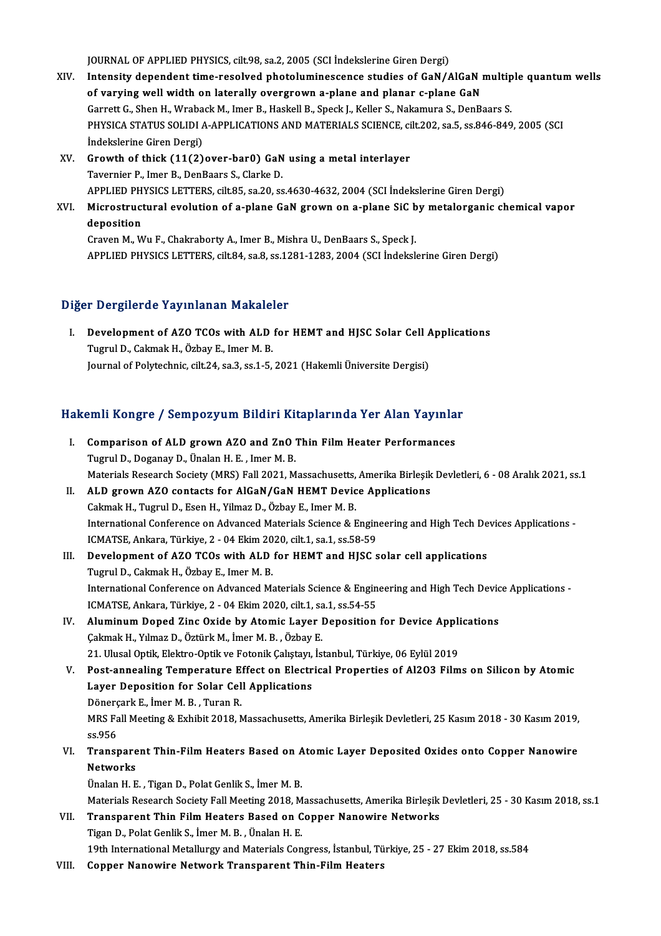JOURNAL OF APPLIED PHYSICS, cilt.98, sa.2, 2005 (SCI İndekslerine Giren Dergi)

- JOURNAL OF APPLIED PHYSICS, cilt.98, sa.2, 2005 (SCI Indekslerine Giren Dergi)<br>XIV. Intensity dependent time-resolved photoluminescence studies of GaN/AlGaN multiple quantum wells JOURNAL OF APPLIED PHYSICS, cilt.98, sa.2, 2005 (SCI Indekslerine Giren Dergi)<br>Intensity dependent time-resolved photoluminescence studies of GaN/AlGaN i<br>of varying well width on laterally overgrown a-plane and planar c-pl Intensity dependent time-resolved photoluminescence studies of GaN/AlGaN multip<br>of varying well width on laterally overgrown a-plane and planar c-plane GaN<br>Garrett G., Shen H., Wraback M., Imer B., Haskell B., Speck J., Ke of varying well width on laterally overgrown a-plane and planar c-plane GaN<br>Garrett G., Shen H., Wraback M., Imer B., Haskell B., Speck J., Keller S., Nakamura S., DenBaars S.<br>PHYSICA STATUS SOLIDI A-APPLICATIONS AND MATER Garrett G., Shen H., Wraba<br>PHYSICA STATUS SOLIDI *I*<br>İndekslerine Giren Dergi)<br>Crouth of thick (11(2) PHYSICA STATUS SOLIDI A-APPLICATIONS AND MATERIALS SCIENCE, ci<br>
indekslerine Giren Dergi)<br>
XV. Growth of thick (11(2)over-bar0) GaN using a metal interlayer<br>
Tayorniar B. Imar B. DanBaars S. Glarke D.
- Indekslerine Giren Dergi)<br>XV. Growth of thick (11(2)over-bar0) GaN using a metal interlayer<br>Tavernier P., Imer B., DenBaars S., Clarke D. Growth of thick (11(2)over-bar0) GaN using a metal interlayer<br>Tavernier P., Imer B., DenBaars S., Clarke D.<br>APPLIED PHYSICS LETTERS, cilt.85, sa.20, ss.4630-4632, 2004 (SCI İndekslerine Giren Dergi)<br>Misrostrustural evoluti Tavernier P., Imer B., DenBaars S., Clarke D.<br>APPLIED PHYSICS LETTERS, cilt.85, sa.20, ss.4630-4632, 2004 (SCI İndekslerine Giren Dergi)<br>XVI. Microstructural evolution of a-plane GaN grown on a-plane SiC by metalorganic ch
- APPLIED PH<br>Microstruct<br>deposition<br>Crayon M M Microstructural evolution of a-plane GaN grown on a-plane SiC b<br>deposition<br>Craven M., Wu F., Chakraborty A., Imer B., Mishra U., DenBaars S., Speck J.<br>APPLIED PHYSICS LETTERS silt 94, 89 8 89 1291 1292 2004 (SCL Indeksl.

deposition<br>Craven M., Wu F., Chakraborty A., Imer B., Mishra U., DenBaars S., Speck J.<br>APPLIED PHYSICS LETTERS, cilt.84, sa.8, ss.1281-1283, 2004 (SCI İndekslerine Giren Dergi)

## Diğer Dergilerde Yayınlanan Makaleler

Iger Dergilerde Yayınlanan Makaleler<br>I. Development of AZO TCOs with ALD for HEMT and HJSC Solar Cell Applications<br>Tugual D. Colmok H. Örboy E. Imer M. P. The Carpinson of Azo TCOs with ALD<br>Tugrul D., Cakmak H., Özbay E., Imer M. B.<br>Iournal of Polytechnie, silt 24, se 3, se 1, E. Development of AZO TCOs with ALD for HEMT and HJSC Solar Cell A<br>Tugrul D., Cakmak H., Özbay E., Imer M. B.<br>Journal of Polytechnic, cilt.24, sa.3, ss.1-5, 2021 (Hakemli Üniversite Dergisi)

# 1991) Journal ol Polytechnic, cht.24, sa.3, ss.1-5, 2021 (Hakemii Universite Dergisi)<br>Hakemli Kongre / Sempozyum Bildiri Kitaplarında Yer Alan Yayınlar

| Hakemli Kongre / Sempozyum Bildiri Kitaplarında Yer Alan Yayınlar |                                                                                                                    |
|-------------------------------------------------------------------|--------------------------------------------------------------------------------------------------------------------|
| L                                                                 | Comparison of ALD grown AZO and ZnO Thin Film Heater Performances                                                  |
|                                                                   | Tugrul D., Doganay D., Ünalan H. E., Imer M. B.                                                                    |
|                                                                   | Materials Research Society (MRS) Fall 2021, Massachusetts, Amerika Birleşik Devletleri, 6 - 08 Aralık 2021, ss.1   |
| Н.                                                                | ALD grown AZO contacts for AlGaN/GaN HEMT Device Applications                                                      |
|                                                                   | Cakmak H., Tugrul D., Esen H., Yilmaz D., Özbay E., Imer M. B.                                                     |
|                                                                   | International Conference on Advanced Materials Science & Engineering and High Tech Devices Applications -          |
|                                                                   | ICMATSE, Ankara, Türkiye, 2 - 04 Ekim 2020, cilt.1, sa.1, ss.58-59                                                 |
| III.                                                              | Development of AZO TCOs with ALD for HEMT and HJSC solar cell applications                                         |
|                                                                   | Tugrul D., Cakmak H., Özbay E., Imer M. B.                                                                         |
|                                                                   | International Conference on Advanced Materials Science & Engineering and High Tech Device Applications -           |
|                                                                   | ICMATSE, Ankara, Türkiye, 2 - 04 Ekim 2020, cilt.1, sa.1, ss.54-55                                                 |
| IV.                                                               | Aluminum Doped Zinc Oxide by Atomic Layer Deposition for Device Applications                                       |
|                                                                   | Çakmak H., Yılmaz D., Öztürk M., İmer M. B., Özbay E.                                                              |
|                                                                   | 21. Ulusal Optik, Elektro-Optik ve Fotonik Çalıştayı, İstanbul, Türkiye, 06 Eylül 2019                             |
| V.                                                                | Post-annealing Temperature Effect on Electrical Properties of Al2O3 Films on Silicon by Atomic                     |
|                                                                   | Layer Deposition for Solar Cell Applications                                                                       |
|                                                                   | Dönerçark E, İmer M. B., Turan R.                                                                                  |
|                                                                   | MRS Fall Meeting & Exhibit 2018, Massachusetts, Amerika Birleşik Devletleri, 25 Kasım 2018 - 30 Kasım 2019,        |
|                                                                   | ss 956                                                                                                             |
| VI.                                                               | Transparent Thin-Film Heaters Based on Atomic Layer Deposited Oxides onto Copper Nanowire                          |
|                                                                   | <b>Networks</b>                                                                                                    |
|                                                                   | Ünalan H. E., Tigan D., Polat Genlik S., İmer M. B.                                                                |
|                                                                   | Materials Research Society Fall Meeting 2018, Massachusetts, Amerika Birleşik Devletleri, 25 - 30 Kasım 2018, ss.1 |
| VII.                                                              | Transparent Thin Film Heaters Based on Copper Nanowire Networks                                                    |
|                                                                   | Tigan D., Polat Genlik S., İmer M. B., Ünalan H. E.                                                                |
|                                                                   | 19th International Metallurgy and Materials Congress, İstanbul, Türkiye, 25 - 27 Ekim 2018, ss.584                 |
| 71 I I                                                            | Connor Nanowing Notwork Transport Thin Film Hostone                                                                |

VIII. Copper Nanowire Network Transparent Thin-Film Heaters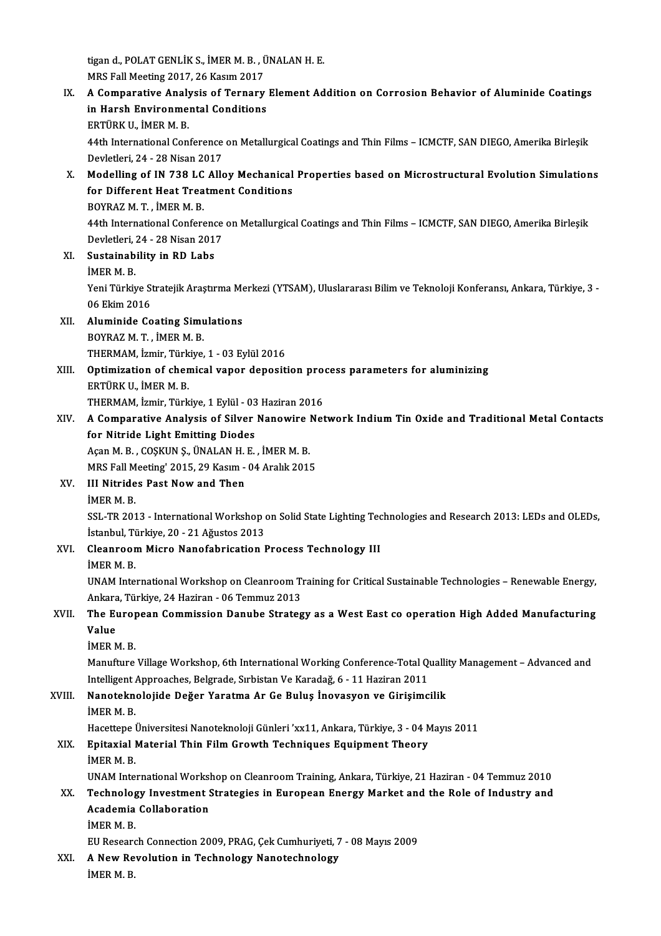tigan d., POLAT GENLİK S., İMER M. B. , ÜNALAN H. E.<br>MPS Fell Mesting 2017, 26 Kesun 2017 tigan d., POLAT GENLİK S., İMER M. B. , İ<br>MRS Fall Meeting 2017, 26 Kasım 2017<br>A Componative Anglysis of Tennony

IX. A Comparative Analysis of Ternary Element Addition on Corrosion Behavior of Aluminide Coatings MRS Fall Meeting 2017, 26 Kasım 2017<br>A Comparative Analysis of Ternary<br>in Harsh Environmental Conditions<br>ERTÜRK U. İMER M. B A Comparative Analy<br>in Harsh Environme:<br>ERTÜRK U., İMER M. B.<br>44th International Con in Harsh Environmental Conditions<br>ERTÜRK U., İMER M. B.<br>44th International Conference on Metallurgical Coatings and Thin Films – ICMCTF, SAN DIEGO, Amerika Birleşik<br>Devletleri 24, .28 Nisan 2017 ERTÜRK U., İMER M. B.<br>44th International Conference<br>Devletleri, 24 - 28 Nisan 2017<br>Modelling of IN 738 I C Alle 44th International Conference on Metallurgical Coatings and Thin Films – ICMCTF, SAN DIEGO, Amerika Birleşik<br>Devletleri, 24 - 28 Nisan 2017<br>X. Modelling of IN 738 LC Alloy Mechanical Properties based on Microstructural Evo Devletleri, 24 - 28 Nisan 2017<br>Modelling of IN 738 LC Alloy Mechanical<br>for Different Heat Treatment Conditions<br>POVP47 M.T. İMEP M.P Modelling of IN 738 LC<br>for Different Heat Trea<br>BOYRAZ M. T. , İMER M. B.<br>44th International Confere for Different Heat Treatment Conditions<br>BOYRAZ M. T. , İMER M. B.<br>44th International Conference on Metallurgical Coatings and Thin Films – ICMCTF, SAN DIEGO, Amerika Birleşik<br>Dovlatlari 24, .28 Nisan 2017 BOYRAZ M. T. , İMER M. B.<br>44th International Conference<br>Devletleri, 24 - 28 Nisan 2017<br>Sustainability in PD Labe Devletleri, 24 - 28 Nisan 2017<br>XI. Sustainability in RD Labs İMERM.B. Sustainability in RD Labs<br>İMER M. B.<br>Yeni Türkiye Stratejik Araştırma Merkezi (YTSAM), Uluslararası Bilim ve Teknoloji Konferansı, Ankara, Türkiye, 3 -İMER M. B.<br>Yeni Türkiye St<br>06 Ekim 2016<br>Aluminide Go Yeni Türkiye Stratejik Araştırma Me<br>06 Ekim 2016<br>XII. Aluminide Coating Simulations<br>POVRAZ M.T. İMER M.R. 06 Ekim 2016<br>Aluminide Coating Simu<br>BOYRAZ M. T. , İMER M. B.<br>THEPMAM İsmin Türkiye BOYRAZ M. T., İMER M. B.<br>THERMAM, İzmir, Türkiye, 1 - 03 Eylül 2016 BOYRAZ M. T. , İMER M. B.<br>THERMAM, İzmir, Türkiye, 1 - 03 Eylül 2016<br>XIII. Optimization of chemical vapor deposition process parameters for aluminizing<br>ERTÜRK U. İMER M. B THERMAM, İzmir, Türk<br>Optimization of chen<br>ERTÜRK U., İMER M. B.<br>THEPMAM, İzmir, Türk Optimization of chemical vapor deposition pro<br>ERTÜRK U., İMER M. B.<br>THERMAM, İzmir, Türkiye, 1 Eylül - 03 Haziran 2016<br>A Comparative Analysis of Silver Napovire Net ERTÜRK U., İMER M. B.<br>THERMAM, İzmir, Türkiye, 1 Eylül - 03 Haziran 2016<br>XIV. A Comparative Analysis of Silver Nanowire Network Indium Tin Oxide and Traditional Metal Contacts<br>for Nitride Light Emitting Diodes THERMAM, İzmir, Türkiye, 1 Eylül - 03<br>A Comparative Analysis of Silver<br>for Nitride Light Emitting Diodes A Comparative Analysis of Silver Nanowire |<br>for Nitride Light Emitting Diodes<br>Açan M. B., COŞKUN Ş., ÜNALAN H. E., İMER M. B.<br>MPS Fell Meeting' 2015–29 Kesum - 04 Aralık 2011 for Nitride Light Emitting Diodes<br>Açan M. B. , COŞKUN Ş., ÜNALAN H. E. , İMER M. B.<br>MRS Fall Meeting' 2015, 29 Kasım - 04 Aralık 2015<br>III Nitrides Best New and Then Açan M. B. , COŞKUN Ş., ÜNALAN H.<br>MRS Fall Meeting' 2015, 29 Kasım -<br>XV. III Nitrides Past Now and Then<br>MEP M. B MRS Fall M<br>III Nitride<br>İMER M. B.<br>SSL TP 201 III Nitrides Past Now and Then<br>İMER M. B.<br>SSL-TR 2013 - International Workshop on Solid State Lighting Technologies and Research 2013: LEDs and OLEDs,<br>İstanbul Türkiye 20, 21 Ağustes 2012 İMER M. B.<br>SSL-TR 2013 - International Workshop<br>İstanbul, Türkiye, 20 - 21 Ağustos 2013<br>Cleanneom Misne Nanefebnisation I SSL-TR 2013 - International Workshop on Solid State Lighting Te<br>İstanbul, Türkiye, 20 - 21 Ağustos 2013<br>XVI. Cleanroom Micro Nanofabrication Process Technology III İstanbul, Türkiye, 20 - 21 Ağustos 2013<br>Cleanroom Micro Nanofabrication Process Technology III<br>İMER M. B. Cleanroom Micro Nanofabrication Process Technology III<br>IMER M. B.<br>UNAM International Workshop on Cleanroom Training for Critical Sustainable Technologies – Renewable Energy,<br>Ankana Türkiye 24 Harinan, 06 Temmus 2012 İMER M. B.<br>UNAM International Workshop on Cleanroom Tı<br>Ankara, Türkiye, 24 Haziran - 06 Temmuz 2013<br>The Euneneen Commission Danube Strates UNAM International Workshop on Cleanroom Training for Critical Sustainable Technologies – Renewable Energy,<br>Ankara, Türkiye, 24 Haziran - 06 Temmuz 2013<br>XVII. The European Commission Danube Strategy as a West East co o Ankara<br><mark>The Eu</mark><br>Value<br>iMED N The Euro<sub>l</sub><br>Value<br>İMER M. B.<br>Manufuro Value<br>İMER M. B.<br>Manufture Village Workshop, 6th International Working Conference-Total Quallity Management – Advanced and<br>Intelligent Annreaches, Belgrade, Subistan Ve Karadağ 6, 11 Hagiran 2011 IMER M. B.<br>Manufture Village Workshop, 6th International Working Conference-Total Q<br>Intelligent Approaches, Belgrade, Sırbistan Ve Karadağ, 6 - 11 Haziran 2011<br>Nanatakralajide Değer Yaratma Ar Ge Bulus İnayasyan ve Girisim XVIII. Nanoteknolojide Değer Yaratma Ar Ge Buluş İnovasyon ve Girişimcilik<br>İMER M. B. Intelligent Approaches, Belgrade, Sırbistan Ve Karadağ, 6 - 11 Haziran 2011 Nanoteknolojide Değer Yaratma Ar Ge Buluş İnovasyon ve Girişimcilik<br>İMER M. B.<br>Hacettepe Üniversitesi Nanoteknoloji Günleri 'xx11, Ankara, Türkiye, 3 - 04 Mayıs 2011<br>Enitavial Matarial Thin Eilm Crowth Techniques Equipment XIX. Epitaxial Material Thin Film Growth Techniques Equipment Theory<br>IMER M. B. Hacettepe<br>**Epitaxial l<br>İMER M. B.**<br>IIMAM Inte Epitaxial Material Thin Film Growth Techniques Equipment Theory<br>İMER M. B.<br>UNAM International Workshop on Cleanroom Training, Ankara, Türkiye, 21 Haziran - 04 Temmuz 2010<br>Technology Investment Strategies in European Energy iMER M. B.<br>UNAM International Workshop on Cleanroom Training, Ankara, Türkiye, 21 Haziran - 04 Temmuz 2010<br>XX. Technology Investment Strategies in European Energy Market and the Role of Industry and<br>Asadamia Callabarati UNAM International Worksl<br>Technology Investment S<br>Academia Collaboration<br>IMER M P Technolog<br>Academia<br>İMER M. B.<br>EU Beseare Academia Collaboration<br>1<br>EU Research Connection 2009, PRAG, Çek Cumhuriyeti, 7 - 08 Mayıs 2009 iMER M. B.<br>EU Research Connection 2009, PRAG, Çek Cumhuriyeti, 7<br>XXI. A New Revolution in Technology Nanotechnology<br>IMER M. B EU Researe<br><mark>A New Re</mark><br>İMER M. B.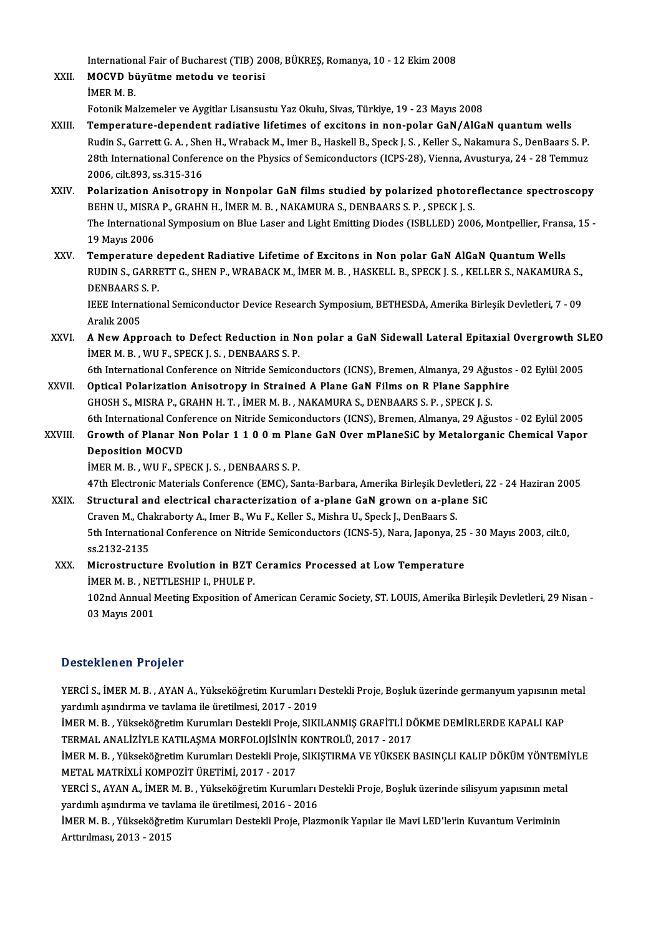International Fair of Bucharest (TIB) 2008, BÜKREŞ, Romanya, 10 - 12 Ekim 2008<br>MOCVD büyütme metadu ve teorisi

International Fair of Bucharest (TIB) 20<br>XXII. MOCVD büyütme metodu ve teorisi<br>iMER M B Internation<br>**MOCVD** bi<br>İMER M. B.<br>Estenik Me MOCVD büyütme metodu ve teorisi<br>İMER M. B.<br>Fotonik Malzemeler ve Aygitlar Lisansustu Yaz Okulu, Sivas, Türkiye, 19 - 23 Mayıs 2008

- XXIII. Temperature-dependent radiative lifetimes of excitons in non-polar GaN/AlGaN quantum wells Rudin S., Garrett G. A., Shen H., Wraback M., Imer B., Haskell B., Speck J. S., Keller S., Nakamura S., DenBaars S. P. Temperature-dependent radiative lifetimes of excitons in non-polar GaN/AlGaN quantum wells<br>Rudin S., Garrett G. A. , Shen H., Wraback M., Imer B., Haskell B., Speck J. S. , Keller S., Nakamura S., DenBaars S. P.<br>28th Inter Rudin S., Garrett G. A. , She<br>28th International Confere<br>2006, cilt.893, ss.315-316<br>Belerization Anisotrony 28th International Conference on the Physics of Semiconductors (ICPS-28), Vienna, Avusturya, 24 - 28 Temmuz<br>2006, cilt.893, ss.315-316<br>XXIV. Polarization Anisotropy in Nonpolar GaN films studied by polarized photoreflectan
- 2006, cilt.893, ss.315-316<br>Polarization Anisotropy in Nonpolar GaN films studied by polarized photore<br>BEHN U., MISRA P., GRAHN H., İMER M. B. , NAKAMURA S., DENBAARS S. P. , SPECK J. S.<br>The International Symposium on Blue Polarization Anisotropy in Nonpolar GaN films studied by polarized photoreflectance spectroscopy<br>BEHN U., MISRA P., GRAHN H., İMER M. B. , NAKAMURA S., DENBAARS S. P. , SPECK J. S.<br>The International Symposium on Blue Laser BEHN U., MISRA P., GRAHN H., İMER M. B. , NAKAMURA S., DENBAARS S. P. , SPECK J. S.<br>The International Symposium on Blue Laser and Light Emitting Diodes (ISBLLED) 2006, Montpellier, Fransa, 15 -<br>19 Mayıs 2006
- XXV. Temperature depedent Radiative Lifetime of Excitons in Non polar GaN AlGaN Quantum Wells 19 Mayıs 2006<br>Temperature depedent Radiative Lifetime of Excitons in Non polar GaN AlGaN Quantum Wells<br>RUDIN S., GARRETT G., SHEN P., WRABACK M., İMER M. B. , HASKELL B., SPECK J. S. , KELLER S., NAKAMURA S.,<br>DENRAARS S. R Temperature<br>RUDIN S., GARRI<br>DENBAARS S. P.<br><sup>IEEE</sup> Internation RUDIN S., GARRETT G., SHEN P., WRABACK M., İMER M. B. , HASKELL B., SPECK J. S. , KELLER S., NAKAMURA S.,<br>DENBAARS S. P.<br>IEEE International Semiconductor Device Research Symposium, BETHESDA, Amerika Birleşik Devletleri, 7

DENBAARS S. P.<br>IEEE International Semiconductor Device Research Symposium, BETHESDA, Amerika Birleşik Devletleri, 7 - 09<br>Aralık 2005 IEEE International Semiconductor Device Research Symposium, BETHESDA, Amerika Birleşik Devletleri, 7 - 09<br>Aralık 2005<br>XXVI. A New Approach to Defect Reduction in Non polar a GaN Sidewall Lateral Epitaxial Overgrowth SLEO

- Aralık 2005<br>A New Approach to Defect Reduction in N<br>İMER M. B. , WU F., SPECK J. S. , DENBAARS S. P.<br>6th International Conference on Nitride Semise A New Approach to Defect Reduction in Non polar a GaN Sidewall Lateral Epitaxial Overgrowth SI<br>IMER M. B. , WU F., SPECK J. S. , DENBAARS S. P.<br>6th International Conference on Nitride Semiconductors (ICNS), Bremen, Almanya
- IMER M. B., WU F., SPECK J. S., DENBAARS S. P.<br>6th International Conference on Nitride Semiconductors (ICNS), Bremen, Almanya, 29 Ağustos<br>XXVII. Optical Polarization Anisotropy in Strained A Plane GaN Films on R Plane Sapp 6th International Conference on Nitride Semiconductors (ICNS), Bremen, Almanya, 29 Ağu<br>Optical Polarization Anisotropy in Strained A Plane GaN Films on R Plane Sapph<br>GHOSH S., MISRA P., GRAHN H. T. , İMER M. B. , NAKAMURA Optical Polarization Anisotropy in Strained A Plane GaN Films on R Plane Sapphire<br>GHOSH S., MISRA P., GRAHN H. T. , İMER M. B. , NAKAMURA S., DENBAARS S. P. , SPECK J. S.<br>6th International Conference on Nitride Semiconduct GHOSH S., MISRA P., GRAHN H. T. , İMER M. B. , NAKAMURA S., DENBAARS S. P. , SPECK J. S.<br>6th International Conference on Nitride Semiconductors (ICNS), Bremen, Almanya, 29 Ağustos - 02 Eylül 2005<br>XXVIII. Growth of Planar N
- **6th International Conf**<br>Growth of Planar N<br>Deposition MOCVD<br>IMEP M P WILE SPI Growth of Planar Non Polar 1 1 0 0 m Pla:<br>Deposition MOCVD<br>İMER M. B. , WU F., SPECK J. S. , DENBAARS S. P.<br>47th Electronic Materials Conference (EMC), Se Deposition MOCVD<br>İMER M. B. , WU F., SPECK J. S. , DENBAARS S. P.<br>47th Electronic Materials Conference (EMC), Santa-Barbara, Amerika Birleşik Devletleri, 22 - 24 Haziran 2005<br>Structural and electrical sharastariration of a

IMER M. B., WU F., SPECK J. S., DENBAARS S. P.<br>47th Electronic Materials Conference (EMC), Santa-Barbara, Amerika Birleşik Devletleri, 2<br>XXIX. Structural and electrical characterization of a-plane GaN grown on a-plane SiC 47th Electronic Materials Conference (EMC), Santa-Barbara, Amerika Birleşik Devlet<br>Structural and electrical characterization of a-plane GaN grown on a-plan<br>Craven M., Chakraborty A., Imer B., Wu F., Keller S., Mishra U., Structural and electrical characterization of a-plane GaN grown on a-plane SiC<br>Craven M., Chakraborty A., Imer B., Wu F., Keller S., Mishra U., Speck J., DenBaars S.<br>5th International Conference on Nitride Semiconductors ( Craven M., Cha<br>5th Internation<br>ss.2132-2135<br>Microstructu 5th International Conference on Nitride Semiconductors (ICNS-5), Nara, Japonya, 25<br>ss.2132-2135<br>XXX. Microstructure Evolution in BZT Ceramics Processed at Low Temperature<br>iMER M. B. NETTI ESUIR L. BUILE R.

ss.2132-2135<br>Microstructure Evolution in BZT<br>İMER M. B. , NETTLESHIP I., PHULE P.<br>102nd Annual Meeting Eunesition of 102nd Annual Meeting Exposition of American Ceramic Society, ST. LOUIS, Amerika Birleşik Devletleri, 29 Nisan -<br>03 Mayıs 2001 IMER M. B., NETTLESHIP I., PHULE P.

## Desteklenen Projeler

Desteklenen Projeler<br>YERCİ S., İMER M. B. , AYAN A., Yükseköğretim Kurumları Destekli Proje, Boşluk üzerinde germanyum yapısının metal<br>vardımlı asındırma ve tavlama ile üretilmesi 2017–2019 yardımlı ve tavlama ve tavlama ve tavlama ve tavlama ve tavlama ile üretilmesi, 2017 - 2019<br>1997-yılımlı aşındırma ve tavlama ile üretilmesi, 2017 - 2019<br>1998-yılım ve Yükseköğretim Kurumları Destekli Preje, SIKI YERCİ S., İMER M. B. , AYAN A., Yükseköğretim Kurumları Destekli Proje, Boşluk üzerinde germanyum yapısının m<br>yardımlı aşındırma ve tavlama ile üretilmesi, 2017 - 2019<br>İMER M. B. , Yükseköğretim Kurumları Destekli Proje, S

yardımlı aşındırma ve tavlama ile üretilmesi, 2017 - 2019<br>İMER M. B. , Yükseköğretim Kurumları Destekli Proje, SIKILANMIŞ GRAFİTLİ D(<br>TERMAL ANALİZİYLE KATILAŞMA MORFOLOJİSİNİN KONTROLÜ, 2017 - 2017<br>İMER M. B. , Yükseköğre İMER M. B., Yükseköğretim Kurumları Destekli Proje, SIKILANMIŞ GRAFİTLİ DÖKME DEMİRLERDE KAPALI KAP<br>TERMAL ANALİZİYLE KATILAŞMA MORFOLOJİSİNİN KONTROLÜ, 2017 - 2017<br>İMER M. B., Yükseköğretim Kurumları Destekli Proje, SIKIŞ

TERMAL ANALİZİYLE KATILAŞMA MORFOLOJİSİNİN KONTROLÜ, 2017 - 2017<br>İMER M. B. , Yükseköğretim Kurumları Destekli Proje, SIKIŞTIRMA VE YÜKSEK<br>METAL MATRİXLİ KOMPOZİT ÜRETİMİ, 2017 - 2017 İMER M. B. , Yükseköğretim Kurumları Destekli Proje, SIKIŞTIRMA VE YÜKSEK BASINÇLI KALIP DÖKÜM YÖNTEMİYLE METAL MATRİXLİ KOMPOZİT ÜRETİMİ, 2017 - 2017<br>YERCİ S., AYAN A., İMER M. B. , Yükseköğretim Kurumları Destekli Proje,

METAL MATRİXLİ KOMPOZİT ÜRETİMİ, 2017 - 2017<br>YERCİ S., AYAN A., İMER M. B. , Yükseköğretim Kurumları I<br>yardımlı aşındırma ve tavlama ile üretilmesi, 2016 - 2016<br>İMER M. B., Yükseköğretim Kurumları Destekli Breje Plan YERCİ S., AYAN A., İMER M. B. , Yükseköğretim Kurumları Destekli Proje, Boşluk üzerinde silisyum yapısının meta<br>yardımlı aşındırma ve tavlama ile üretilmesi, 2016 - 2016<br>İMER M. B. , Yükseköğretim Kurumları Destekli Proje,

İMER M. B. , Yükseköğretim Kurumları Destekli Proje, Plazmonik Yapılar ile Mavi LED'lerin Kuvantum Veriminin<br>Arttırılması, 2013 - 2015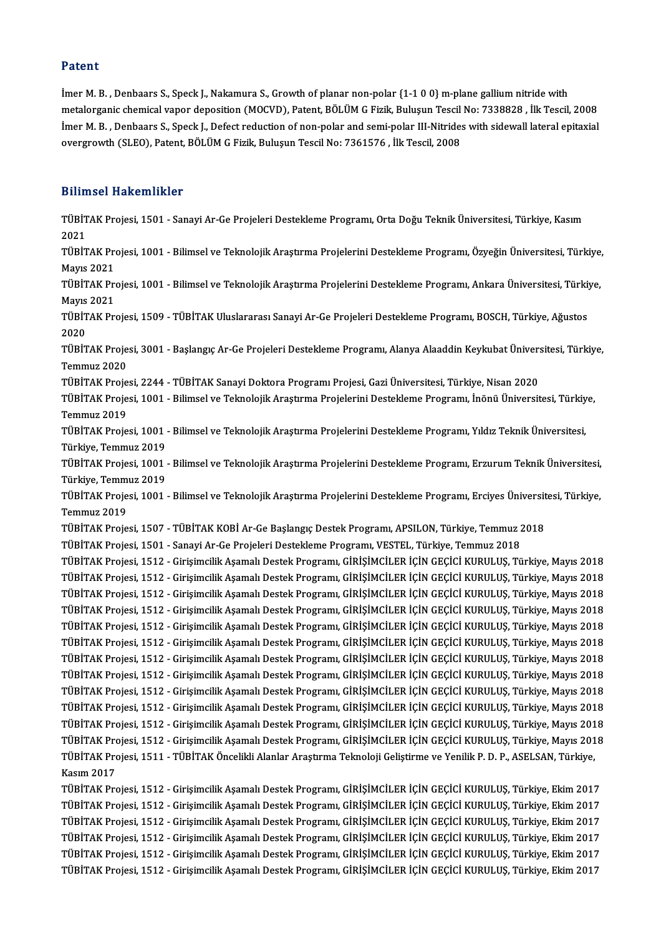## Patent

Imer M.B., Denbaars S., Speck J., Nakamura S., Growth of planar non-polar {1-1 0 0} m-plane gallium nitride with metalorganic chemical vapor deposition (MOCVD), Patent, BÖLÜM G Fizik, Buluşun Tescil No: 7338828, İlk Tescil, 2008 İmer M. B. , Denbaars S., Speck J., Nakamura S., Growth of planar non-polar {1-1 0 0} m-plane gallium nitride with<br>metalorganic chemical vapor deposition (MOCVD), Patent, BÖLÜM G Fizik, Buluşun Tescil No: 7338828 , İlk Tes metalorganic chemical vapor deposition (MOCVD), Patent, BÖLÜM G Fizik, Buluşun Tescil<br>İmer M. B. , Denbaars S., Speck J., Defect reduction of non-polar and semi-polar III-Nitride:<br>overgrowth (SLEO), Patent, BÖLÜM G Fizik, overgrowth (SLEO), Patent, BÖLÜM G Fizik, Buluşun Tescil No: 7361576 , İlk Tescil, 2008<br>Bilimsel Hakemlikler

Bilimsel Hakemlikler<br>TÜBİTAK Projesi, 1501 - Sanayi Ar-Ge Projeleri Destekleme Programı, Orta Doğu Teknik Üniversitesi, Türkiye, Kasım<br>2021 21111<br>TÜBİT<br>2021<br>TÜBİT TÜBİTAK Projesi, 1501 - Sanayi Ar-Ge Projeleri Destekleme Programı, Orta Doğu Teknik Üniversitesi, Türkiye, Kasım<br>2021<br>TÜBİTAK Projesi, 1001 - Bilimsel ve Teknolojik Araştırma Projelerini Destekleme Programı, Özyeğin Ünive 2021<br>TÜBİTAK Pre<br>Mayıs 2021<br>TÜPİTAK Pre TÜBİTAK Projesi, 1001 - Bilimsel ve Teknolojik Araştırma Projelerini Destekleme Programı, Özyeğin Üniversitesi, Türkiye<br>Mayıs 2021<br>TÜBİTAK Projesi, 1001 - Bilimsel ve Teknolojik Araştırma Projelerini Destekleme Programı, A Mayıs 2021<br>TÜBİTAK Pre<br>Mayıs 2021<br>TÜPİTAK Pre TÜBİTAK Projesi, 1001 - Bilimsel ve Teknolojik Araştırma Projelerini Destekleme Programı, Ankara Üniversitesi, Türki<br>Mayıs 2021<br>TÜBİTAK Projesi, 1509 - TÜBİTAK Uluslararası Sanayi Ar-Ge Projeleri Destekleme Programı, BOSCH Mayıs<br>TÜBİT<br>2020<br>Tüpit TÜBİTAK Projesi, 1509 - TÜBİTAK Uluslararası Sanayi Ar-Ge Projeleri Destekleme Programı, BOSCH, Türkiye, Ağustos<br>2020<br>TÜBİTAK Projesi, 3001 - Başlangıç Ar-Ge Projeleri Destekleme Programı, Alanya Alaaddin Keykubat Üniversi 2020<br>TÜBİTAK Projesi, 3001 - Başlangıç Ar-Ge Projeleri Destekleme Programı, Alanya Alaaddin Keykubat Üniversitesi, Türkiye,<br>Temmuz 2020 TÜBİTAK Projesi, 3001 - Başlangıç Ar-Ge Projeleri Destekleme Programı, Alanya Alaaddin Keykubat Ünivers<br>Temmuz 2020<br>TÜBİTAK Projesi, 2244 - TÜBİTAK Sanayi Doktora Programı Projesi, Gazi Üniversitesi, Türkiye, Nisan 2020<br>TÜ TÜBİTAK Projesi, 1001 - Bilimsel ve Teknolojik Araştırma Projelerini Destekleme Programı, İnönü Üniversitesi, Türkiye,<br>Temmuz 2019 TÜBİTAK Proje<br>TÜBİTAK Proje<br>Temmuz 2019<br>TÜPİTAK Proje TÜBİTAK Projesi, 1001 - Bilimsel ve Teknolojik Araştırma Projelerini Destekleme Programı, İnönü Üniversitesi, Türkiy<br>Temmuz 2019<br>TüBİTAK Projesi, 1001 - Bilimsel ve Teknolojik Araştırma Projelerini Destekleme Programı, Yıl Temmuz 2019<br>TÜBİTAK Projesi, 1001<br>Türkiye, Temmuz 2019<br>TÜBİTAK Projesi, 1001 TÜBİTAK Projesi, 1001 - Bilimsel ve Teknolojik Araştırma Projelerini Destekleme Programı, Yıldız Teknik Üniversitesi,<br>Türkiye, Temmuz 2019<br>Türkiye, Temmuz 2010 Türkiye, Temmuz 2019<br>TÜBİTAK Projesi, 1001<br>Türkiye, Temmuz 2019<br>TÜBİTAK Projesi, 1001 TÜBİTAK Projesi, 1001 - Bilimsel ve Teknolojik Araştırma Projelerini Destekleme Programı, Erzurum Teknik Üniversitesi,<br>Türkiye, Temmuz 2019<br>TÜBİTAK Projesi, 1001 - Bilimsel ve Teknolojik Araştırma Projelerini Destekleme Pr Türkiye, Temmuz 2019<br>TÜBİTAK Projesi, 1001 - Bilimsel ve Teknolojik Araştırma Projelerini Destekleme Programı, Erciyes Üniversitesi, Türkiye,<br>Temmuz 2019 TÜBİTAK Projesi, 1001 - Bilimsel ve Teknolojik Araştırma Projelerini Destekleme Programı, Erciyes Üniversit<br>TüBİTAK Projesi, 1507 - TÜBİTAK KOBİ Ar-Ge Başlangıç Destek Programı, APSILON, Türkiye, Temmuz 2018<br>TÜBİTAK Projes Temmuz 2019<br>TÜBİTAK Projesi, 1507 - TÜBİTAK KOBİ Ar-Ge Başlangıç Destek Programı, APSILON, Türkiye, Temmuz 2<br>TÜBİTAK Projesi, 1501 - Sanayi Ar-Ge Projeleri Destekleme Programı, VESTEL, Türkiye, Temmuz 2018<br>TÜBİTAK Projesi, TÜBİTAK Projesi, 1507 - TÜBİTAK KOBİ Ar-Ge Başlangıç Destek Programı, APSILON, Türkiye, Temmuz 2018<br>TÜBİTAK Projesi, 1501 - Sanayi Ar-Ge Projeleri Destekleme Programı, VESTEL, Türkiye, Temmuz 2018<br>TÜBİTAK Projesi, 1512 - G TÜBİTAK Projesi, 1501 - Sanayi Ar-Ge Projeleri Destekleme Programı, VESTEL, Türkiye, Temmuz 2018<br>TÜBİTAK Projesi, 1512 - Girişimcilik Aşamalı Destek Programı, GİRİŞİMCİLER İÇİN GEÇİCİ KURULUŞ, Türkiye, Mayıs 2018<br>TÜBİTAK P TÜBİTAK Projesi, 1512 - Girişimcilik Aşamalı Destek Programı, GİRİŞİMCİLER İÇİN GEÇİCİ KURULUŞ, Türkiye, Mayıs 2018<br>TÜBİTAK Projesi, 1512 - Girişimcilik Aşamalı Destek Programı, GİRİŞİMCİLER İÇİN GEÇİCİ KURULUŞ, Türkiye, M TÜBİTAK Projesi, 1512 - Girişimcilik Aşamalı Destek Programı, GİRİŞİMCİLER İÇİN GEÇİCİ KURULUŞ, Türkiye, Mayıs 2018<br>TÜBİTAK Projesi, 1512 - Girişimcilik Aşamalı Destek Programı, GİRİŞİMCİLER İÇİN GEÇİCİ KURULUŞ, Türkiye, M TÜBİTAK Projesi, 1512 - Girişimcilik Aşamalı Destek Programı, GİRİŞİMCİLER İÇİN GEÇİCİ KURULUŞ, Türkiye, Mayıs 2018<br>TÜBİTAK Projesi, 1512 - Girişimcilik Aşamalı Destek Programı, GİRİŞİMCİLER İÇİN GEÇİCİ KURULUŞ, Türkiye, M TÜBİTAK Projesi, 1512 - Girişimcilik Aşamalı Destek Programı, GİRİŞİMCİLER İÇİN GEÇİCİ KURULUŞ, Türkiye, Mayıs 2018<br>TÜBİTAK Projesi, 1512 - Girişimcilik Aşamalı Destek Programı, GİRİŞİMCİLER İÇİN GEÇİCİ KURULUŞ, Türkiye, M TÜBİTAK Projesi, 1512 - Girişimcilik Aşamalı Destek Programı, GİRİŞİMCİLER İÇİN GEÇİCİ KURULUŞ, Türkiye, Mayıs 2018<br>TÜBİTAK Projesi, 1512 - Girişimcilik Aşamalı Destek Programı, GİRİŞİMCİLER İÇİN GEÇİCİ KURULUŞ, Türkiye, M TÜBİTAK Projesi, 1512 - Girişimcilik Aşamalı Destek Programı, GİRİŞİMCİLER İÇİN GEÇİCİ KURULUŞ, Türkiye, Mayıs 2018<br>TÜBİTAK Projesi, 1512 - Girişimcilik Aşamalı Destek Programı, GİRİŞİMCİLER İÇİN GEÇİCİ KURULUŞ, Türkiye, M TÜBİTAK Projesi, 1512 - Girişimcilik Aşamalı Destek Programı, GİRİŞİMCİLER İÇİN GEÇİCİ KURULUŞ, Türkiye, Mayıs 2018<br>TÜBİTAK Projesi, 1512 - Girişimcilik Aşamalı Destek Programı, GİRİŞİMCİLER İÇİN GEÇİCİ KURULUŞ, Türkiye, M TÜBİTAK Projesi, 1512 - Girişimcilik Aşamalı Destek Programı, GİRİŞİMCİLER İÇİN GEÇİCİ KURULUŞ, Türkiye, Mayıs 2018<br>TÜBİTAK Projesi, 1512 - Girişimcilik Aşamalı Destek Programı, GİRİŞİMCİLER İÇİN GEÇİCİ KURULUŞ, Türkiye, M TÜBİTAK Projesi, 1512 - Girişimcilik Aşamalı Destek Programı, GİRİŞİMCİLER İÇİN GEÇİCİ KURULUŞ, Türkiye, Mayıs 2018 TÜBİTAK Projesi, 1512 - Girişimcilik Aşamalı Destek Programı, GİRİŞİMCİLER İÇİN GEÇİCİ KURULUŞ, Türkiye, Mayıs 2018<br>TÜBİTAK Projesi, 1512 - Girişimcilik Aşamalı Destek Programı, GİRİŞİMCİLER İÇİN GEÇİCİ KURULUŞ, Türkiye, M TÜBİTAK Projesi, 1512 - Girişimcilik Aşamalı Destek Programı, GİRİŞİMCİLER İÇİN GEÇİCİ KURULUŞ, Türkiye, Mayıs 201<br>TÜBİTAK Projesi, 1512 - Girişimcilik Aşamalı Destek Programı, GİRİŞİMCİLER İÇİN GEÇİCİ KURULUŞ, Türkiye, Ma TÜBİTAK Projesi, 1512 - Girişimcilik Aşamalı Destek Programı, GİRİŞİMCİLER İÇİN GEÇİCİ KURULUŞ, Türkiye, Mayıs 2018<br>TÜBİTAK Projesi, 1511 - TÜBİTAK Öncelikli Alanlar Araştırma Teknoloji Geliştirme ve Yenilik P. D. P., ASEL TÜBİTAK Projesi, 1512 - Girişimcilik Aşamalı Destek Programı, GİRİŞİMCİLER İÇİN GEÇİCİ KURULUŞ, Türkiye, Ekim 2017 Kasım 2017<br>TÜBİTAK Projesi, 1512 - Girişimcilik Aşamalı Destek Programı, GİRİŞİMCİLER İÇİN GEÇİCİ KURULUŞ, Türkiye, Ekim 2017<br>TÜBİTAK Projesi, 1512 - Girişimcilik Aşamalı Destek Programı, GİRİŞİMCİLER İÇİN GEÇİCİ KURULUŞ, TÜBİTAK Projesi, 1512 - Girişimcilik Aşamalı Destek Programı, GİRİŞİMCİLER İÇİN GEÇİCİ KURULUŞ, Türkiye, Ekim 2017<br>TÜBİTAK Projesi, 1512 - Girişimcilik Aşamalı Destek Programı, GİRİŞİMCİLER İÇİN GEÇİCİ KURULUŞ, Türkiye, Ek TÜBİTAK Projesi, 1512 - Girişimcilik Aşamalı Destek Programı, GİRİŞİMCİLER İÇİN GEÇİCİ KURULUŞ, Türkiye, Ekim 2017<br>TÜBİTAK Projesi, 1512 - Girişimcilik Aşamalı Destek Programı, GİRİŞİMCİLER İÇİN GEÇİCİ KURULUŞ, Türkiye, Ek TÜBİTAK Projesi, 1512 - Girişimcilik Aşamalı Destek Programı, GİRİŞİMCİLER İÇİN GEÇİCİ KURULUŞ, Türkiye, Ekim 2017<br>TÜBİTAK Projesi, 1512 - Girişimcilik Aşamalı Destek Programı, GİRİŞİMCİLER İÇİN GEÇİCİ KURULUŞ, Türkiye, Ek TÜBİTAK Projesi, 1512 - Girişimcilik Aşamalı Destek Programı, GİRİŞİMCİLER İÇİN GEÇİCİ KURULUŞ, Türkiye, Ekim 2017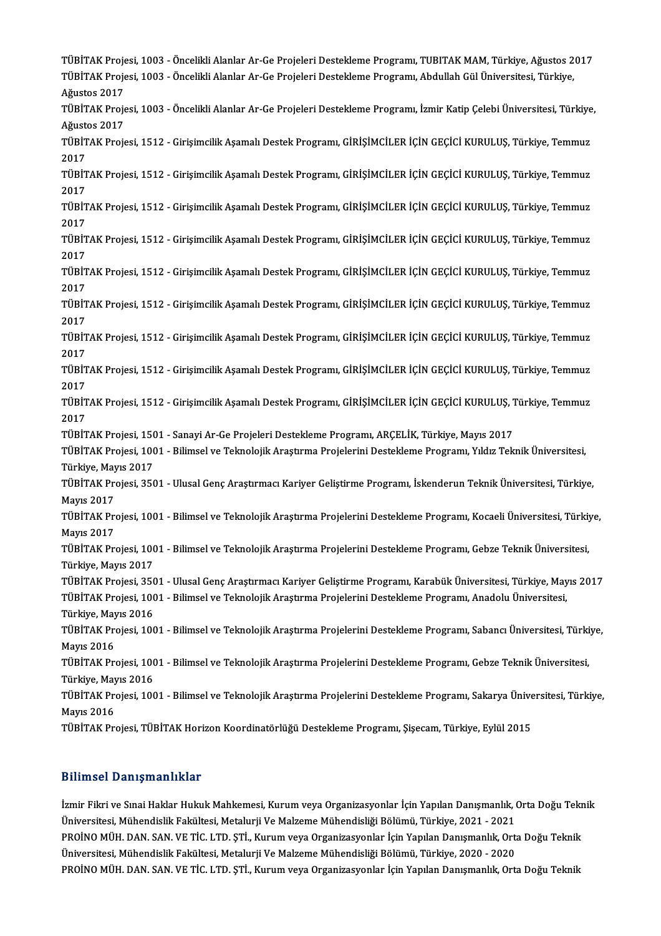TÜBİTAK Projesi, 1003 - Öncelikli Alanlar Ar-Ge Projeleri Destekleme Programı, TUBITAK MAM, Türkiye, Ağustos 2017<br>Türkinek Projesi, 1003 - Öncelikli Alanlar Ar-Ge Projeleri Destekleme Programı, Abdullah Gül Üniversitesi, T TÜBİTAK Projesi, 1003 - Öncelikli Alanlar Ar-Ge Projeleri Destekleme Programı, TUBITAK MAM, Türkiye, Ağustos 2<br>TÜBİTAK Projesi, 1003 - Öncelikli Alanlar Ar-Ge Projeleri Destekleme Programı, Abdullah Gül Üniversitesi, Türki TÜBİTAK Proje<br>TÜBİTAK Proje<br>Ağustos 2017<br>TÜBİTAK Proje TÜBİTAK Projesi, 1003 - Öncelikli Alanlar Ar-Ge Projeleri Destekleme Programı, Abdullah Gül Üniversitesi, Türkiye,<br>Ağustos 2017<br>TÜBİTAK Projesi, 1003 - Öncelikli Alanlar Ar-Ge Projeleri Destekleme Programı, İzmir Katip Çel TÜBİTAK Projesi, 1003 - Öncelikli Alanlar Ar-Ge Projeleri Destekleme Programı, İzmir Katip Çelebi Üniversitesi, Türkiye, TÜBİTAK Projesi, 1003 - Öncelikli Alanlar Ar-Ge Projeleri Destekleme Programı, İzmir Katip Çelebi Üniversitesi, Türkiye<br>Ağustos 2017<br>TÜBİTAK Projesi, 1512 - Girişimcilik Aşamalı Destek Programı, GİRİŞİMCİLER İÇİN GEÇİCİ KU Ağuste<br>TÜBİT<br>2017<br>Tüpit TÜBİTAK Projesi, 1512 - Girişimcilik Aşamalı Destek Programı, GİRİŞİMCİLER İÇİN GEÇİCİ KURULUŞ, Türkiye, Temmuz<br>2017<br>TÜBİTAK Projesi, 1512 - Girişimcilik Aşamalı Destek Programı, GİRİŞİMCİLER İÇİN GEÇİCİ KURULUŞ, Türkiye, 2017<br>TÜBİTAK Projesi, 1512 - Girişimcilik Aşamalı Destek Programı, GİRİŞİMCİLER İÇİN GEÇİCİ KURULUŞ, Türkiye, Temmuz<br>2017 TÜBİTAK Projesi, 1512 - Girişimcilik Aşamalı Destek Programı, GİRİŞİMCİLER İÇİN GEÇİCİ KURULUŞ, Türkiye, Temmuz<br>2017<br>TÜBİTAK Projesi, 1512 - Girişimcilik Aşamalı Destek Programı, GİRİŞİMCİLER İÇİN GEÇİCİ KURULUŞ, Türkiye, 2017<br>TÜBİT<br>2017<br>Tübit TÜBİTAK Projesi, 1512 - Girişimcilik Aşamalı Destek Programı, GİRİŞİMCİLER İÇİN GEÇİCİ KURULUŞ, Türkiye, Temmuz<br>2017<br>TÜBİTAK Projesi, 1512 - Girişimcilik Aşamalı Destek Programı, GİRİŞİMCİLER İÇİN GEÇİCİ KURULUŞ, Türkiye, 2017<br>TÜBİTAK Projesi, 1512 - Girişimcilik Aşamalı Destek Programı, GİRİŞİMCİLER İÇİN GEÇİCİ KURULUŞ, Türkiye, Temmuz<br>2017 TÜBİTAK Projesi, 1512 - Girişimcilik Aşamalı Destek Programı, GİRİŞİMCİLER İÇİN GEÇİCİ KURULUŞ, Türkiye, Temmuz<br>2017<br>TÜBİTAK Projesi, 1512 - Girişimcilik Aşamalı Destek Programı, GİRİŞİMCİLER İÇİN GEÇİCİ KURULUŞ, Türkiye, 2017<br>TÜBİT<br>2017<br>Tübit TÜBİTAK Projesi, 1512 - Girişimcilik Aşamalı Destek Programı, GİRİŞİMCİLER İÇİN GEÇİCİ KURULUŞ, Türkiye, Temmuz<br>2017<br>TÜBİTAK Projesi, 1512 - Girişimcilik Aşamalı Destek Programı, GİRİŞİMCİLER İÇİN GEÇİCİ KURULUŞ, Türkiye, 2017<br>TÜBİT<br>2017<br>Tübit TÜBİTAK Projesi, 1512 - Girişimcilik Aşamalı Destek Programı, GİRİŞİMCİLER İÇİN GEÇİCİ KURULUŞ, Türkiye, Temmuz<br>2017<br>TÜBİTAK Projesi, 1512 - Girişimcilik Aşamalı Destek Programı, GİRİŞİMCİLER İÇİN GEÇİCİ KURULUŞ, Türkiye, 2017<br>TÜBİTAK Projesi, 1512 - Girişimcilik Aşamalı Destek Programı, GİRİŞİMCİLER İÇİN GEÇİCİ KURULUŞ, Türkiye, Temmuz<br>2017 TÜBİTAK Projesi, 1512 - Girişimcilik Aşamalı Destek Programı, GİRİŞİMCİLER İÇİN GEÇİCİ KURULUŞ, Türkiye, Temmuz<br>2017<br>TÜBİTAK Projesi, 1512 - Girişimcilik Aşamalı Destek Programı, GİRİŞİMCİLER İÇİN GEÇİCİ KURULUŞ, Türkiye, 2017<br>TÜBİT<br>2017<br>TÜBİT TÜBİTAK Projesi, 1512 - Girişimcilik Aşamalı Destek Programı, GİRİŞİMCİLER İÇİN GEÇİCİ KURULUŞ, Türkiye, Temmuz<br>2017<br>TÜBİTAK Projesi, 1512 - Girişimcilik Aşamalı Destek Programı, GİRİŞİMCİLER İÇİN GEÇİCİ KURULUŞ, Türkiye, 2017<br>TÜBİTAK Projesi, 1512 - Girişimcilik Aşamalı Destek Programı, GİRİŞİMCİLER İÇİN GEÇİCİ KURULUŞ, Türkiye, Temmuz<br>2017 TÜBİTAK Projesi, 1512 - Girişimcilik Aşamalı Destek Programı, GİRİŞİMCİLER İÇİN GEÇİCİ KURULUŞ, 1<br>2017<br>TÜBİTAK Projesi, 1501 - Sanayi Ar-Ge Projeleri Destekleme Programı, ARÇELİK, Türkiye, Mayıs 2017<br>TÜBİTAK Projesi, 1001 TÜBİTAK Projesi, 1001 - Bilimsel ve Teknolojik Araştırma Projelerini Destekleme Programı, Yıldız Teknik Üniversitesi, TÜBİTAK Projesi, 150<br>TÜBİTAK Projesi, 100<br>Türkiye, Mayıs 2017<br>TÜBİTAK Projesi, 250 TÜBİTAK Projesi, 3501 - Ulusal Genç Araştırmacı Kariyer Geliştirme Programı, İskenderun Teknik Üniversitesi, Türkiye,<br>Mayıs 2017 Türkiye, Mayıs 2017 TÜBİTAK Projesi, 3501 - Ulusal Genç Araştırmacı Kariyer Geliştirme Programı, İskenderun Teknik Üniversitesi, Türkiye,<br>Mayıs 2017<br>TÜBİTAK Projesi, 1001 - Bilimsel ve Teknolojik Araştırma Projelerini Destekleme Programı, Koc Mayıs 2017<br>TÜBİTAK Pre<br>Mayıs 2017<br>TÜPİTAK Pre TÜBİTAK Projesi, 1001 - Bilimsel ve Teknolojik Araştırma Projelerini Destekleme Programı, Kocaeli Üniversitesi, Türkiy<br>Mayıs 2017<br>TüBİTAK Projesi, 1001 - Bilimsel ve Teknolojik Araştırma Projelerini Destekleme Programı, Ge Mayıs 2017<br>TÜBİTAK Projesi, 1001 - Bilimsel ve Teknolojik Araştırma Projelerini Destekleme Programı, Gebze Teknik Üniversitesi,<br>Türkiye, Mayıs 2017 TÜBİTAK Projesi, 1001 - Bilimsel ve Teknolojik Araştırma Projelerini Destekleme Programı, Gebze Teknik Üniversitesi,<br>Türkiye, Mayıs 2017<br>TÜBİTAK Projesi, 3501 - Ulusal Genç Araştırmacı Kariyer Geliştirme Programı, Karabük Türkiye, Mayıs 2017<br>TÜBİTAK Projesi, 3501 - Ulusal Genç Araştırmacı Kariyer Geliştirme Programı, Karabük Üniversitesi, Türkiye, May<br>TüBİTAK Projesi, 1001 - Bilimsel ve Teknolojik Araştırma Projelerini Destekleme Programı, TÜBİTAK Projesi, 350<br>TÜBİTAK Projesi, 100<br>Türkiye, Mayıs 2016<br>TÜBİTAK Projesi, 100 TÜBİTAK Projesi, 1001 - Bilimsel ve Teknolojik Araştırma Projelerini Destekleme Programı, Anadolu Üniversitesi,<br>Türkiye, Mayıs 2016<br>TÜBİTAK Projesi, 1001 - Bilimsel ve Teknolojik Araştırma Projelerini Destekleme Programı, Türkiye, Mayıs 2016 TÜBİTAK Projesi, 1001 - Bilimsel ve Teknolojik Araştırma Projelerini Destekleme Programı, Sabancı Üniversitesi, Türki<br>Mayıs 2016<br>TüBİTAK Projesi, 1001 - Bilimsel ve Teknolojik Araştırma Projelerini Destekleme Programı, Geb Mayıs 2016<br>TÜBİTAK Projesi, 100<br>Türkiye, Mayıs 2016<br>TÜBİTAK Projesi, 100 TÜBİTAK Projesi, 1001 - Bilimsel ve Teknolojik Araştırma Projelerini Destekleme Programı, Gebze Teknik Üniversitesi,<br>Türkiye, Mayıs 2016<br>TÜBİTAK Projesi, 1001 - Bilimsel ve Teknolojik Araştırma Projelerini Destekleme Progr Türkiye, Mayıs 2016<br>TÜBİTAK Projesi, 1001 - Bilimsel ve Teknolojik Araştırma Projelerini Destekleme Programı, Sakarya Üniversitesi, Türkiye,<br>Mayıs 2016 TÜBİTAK Projesi, TÜBİTAK Horizon Koordinatörlüğü Destekleme Programı, Şişecam, Türkiye, Eylül 2015

## Bilimsel Danışmanlıklar

Bilimsel Danışmanlıklar<br>İzmir Fikri ve Sınai Haklar Hukuk Mahkemesi, Kurum veya Organizasyonlar İçin Yapılan Danışmanlık, Orta Doğu Teknik<br>Üniversitesi Mühandislik Fakültesi Metalurii Ve Makame Mühandisliği Bölümü, Türkiye иттост и аттутатттаст<br>İzmir Fikri ve Sınai Haklar Hukuk Mahkemesi, Kurum veya Organizasyonlar İçin Yapılan Danışmanlık, (<br>Üniversitesi, Mühendislik Fakültesi, Metalurji Ve Malzeme Mühendisliği Bölümü, Türkiye, 2021 - 2021 İzmir Fikri ve Sınai Haklar Hukuk Mahkemesi, Kurum veya Organizasyonlar İçin Yapılan Danışmanlık, Orta Doğu Tekr<br>Üniversitesi, Mühendislik Fakültesi, Metalurji Ve Malzeme Mühendisliği Bölümü, Türkiye, 2021 - 2021<br>PROİNO MÜ Üniversitesi, Mühendislik Fakültesi, Metalurji Ve Malzeme Mühendisliği Bölümü, Türkiye, 2021 - 2021<br>PROİNO MÜH. DAN. SAN. VE TİC. LTD. ŞTİ., Kurum veya Organizasyonlar İçin Yapılan Danışmanlık, Ort.<br>Üniversitesi, Mühendisl PROİNO MÜH. DAN. SAN. VE TİC. LTD. ŞTİ., Kurum veya Organizasyonlar İçin Yapılan Danışmanlık, Orta Doğu Teknik<br>Üniversitesi, Mühendislik Fakültesi, Metalurji Ve Malzeme Mühendisliği Bölümü, Türkiye, 2020 - 2020<br>PROİNO MÜH.